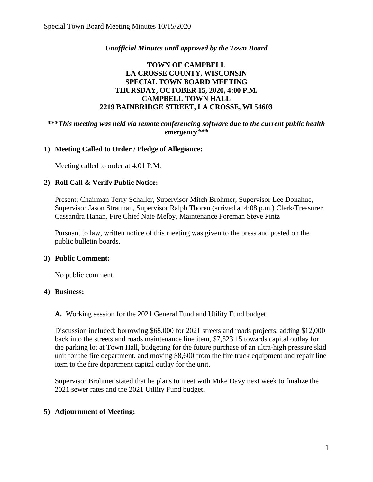## *Unofficial Minutes until approved by the Town Board*

# **TOWN OF CAMPBELL LA CROSSE COUNTY, WISCONSIN SPECIAL TOWN BOARD MEETING THURSDAY, OCTOBER 15, 2020, 4:00 P.M. CAMPBELL TOWN HALL 2219 BAINBRIDGE STREET, LA CROSSE, WI 54603**

### **\*\*\****This meeting was held via remote conferencing software due to the current public health emergency\*\*\**

## **1) Meeting Called to Order / Pledge of Allegiance:**

Meeting called to order at 4:01 P.M.

### **2) Roll Call & Verify Public Notice:**

Present: Chairman Terry Schaller, Supervisor Mitch Brohmer, Supervisor Lee Donahue, Supervisor Jason Stratman, Supervisor Ralph Thoren (arrived at 4:08 p.m.) Clerk/Treasurer Cassandra Hanan, Fire Chief Nate Melby, Maintenance Foreman Steve Pintz

Pursuant to law, written notice of this meeting was given to the press and posted on the public bulletin boards.

### **3) Public Comment:**

No public comment.

### **4) Business:**

**A.** Working session for the 2021 General Fund and Utility Fund budget.

Discussion included: borrowing \$68,000 for 2021 streets and roads projects, adding \$12,000 back into the streets and roads maintenance line item, \$7,523.15 towards capital outlay for the parking lot at Town Hall, budgeting for the future purchase of an ultra-high pressure skid unit for the fire department, and moving \$8,600 from the fire truck equipment and repair line item to the fire department capital outlay for the unit.

Supervisor Brohmer stated that he plans to meet with Mike Davy next week to finalize the 2021 sewer rates and the 2021 Utility Fund budget.

### **5) Adjournment of Meeting:**